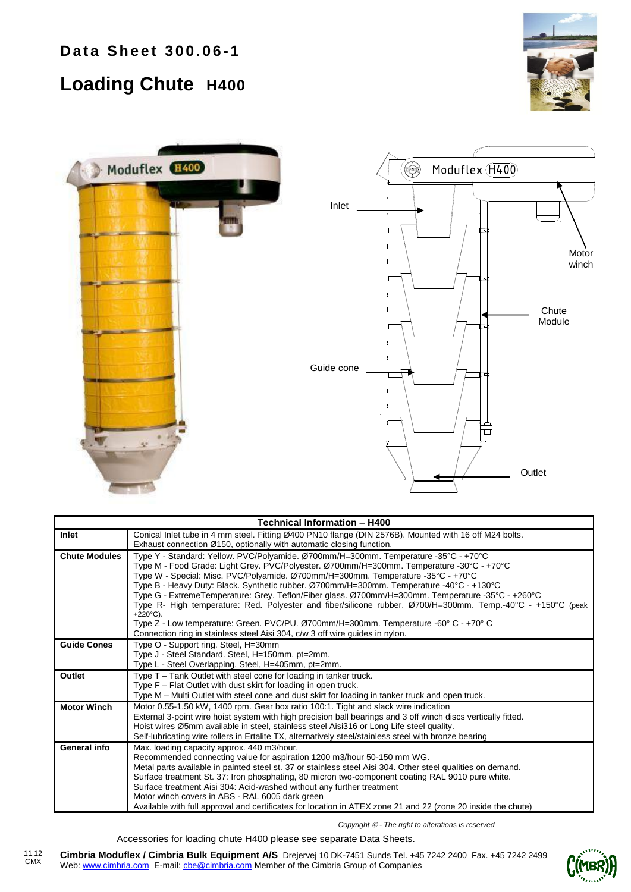## **Loading Chute H400**





| Technical Information - H400 |                                                                                                               |  |  |  |  |  |  |
|------------------------------|---------------------------------------------------------------------------------------------------------------|--|--|--|--|--|--|
| Inlet                        | Conical Inlet tube in 4 mm steel. Fitting Ø400 PN10 flange (DIN 2576B). Mounted with 16 off M24 bolts.        |  |  |  |  |  |  |
|                              | Exhaust connection Ø150, optionally with automatic closing function.                                          |  |  |  |  |  |  |
| <b>Chute Modules</b>         | Type Y - Standard: Yellow. PVC/Polyamide. Ø700mm/H=300mm. Temperature -35°C - +70°C                           |  |  |  |  |  |  |
|                              | Type M - Food Grade: Light Grey. PVC/Polyester. Ø700mm/H=300mm. Temperature -30°C - +70°C                     |  |  |  |  |  |  |
|                              | Type W - Special: Misc. PVC/Polyamide. Ø700mm/H=300mm. Temperature -35°C - +70°C                              |  |  |  |  |  |  |
|                              | Type B - Heavy Duty: Black. Synthetic rubber. Ø700mm/H=300mm. Temperature -40°C - +130°C                      |  |  |  |  |  |  |
|                              | Type G - ExtremeTemperature: Grey. Teflon/Fiber glass. Ø700mm/H=300mm. Temperature -35°C - +260°C             |  |  |  |  |  |  |
|                              | Type R- High temperature: Red. Polyester and fiber/silicone rubber. Ø700/H=300mm. Temp.-40°C - +150°C (peak   |  |  |  |  |  |  |
|                              | +220 $^{\circ}$ C).                                                                                           |  |  |  |  |  |  |
|                              | Type Z - Low temperature: Green. PVC/PU. Ø700mm/H=300mm. Temperature -60° C - +70° C                          |  |  |  |  |  |  |
|                              | Connection ring in stainless steel Aisi 304, c/w 3 off wire guides in nylon.                                  |  |  |  |  |  |  |
| <b>Guide Cones</b>           | Type O - Support ring. Steel, H=30mm                                                                          |  |  |  |  |  |  |
|                              | Type J - Steel Standard. Steel, H=150mm, pt=2mm.                                                              |  |  |  |  |  |  |
|                              | Type L - Steel Overlapping. Steel, H=405mm, pt=2mm.                                                           |  |  |  |  |  |  |
| Outlet                       | Type T - Tank Outlet with steel cone for loading in tanker truck.                                             |  |  |  |  |  |  |
|                              | Type F - Flat Outlet with dust skirt for loading in open truck.                                               |  |  |  |  |  |  |
|                              | Type M - Multi Outlet with steel cone and dust skirt for loading in tanker truck and open truck.              |  |  |  |  |  |  |
| <b>Motor Winch</b>           | Motor 0.55-1.50 kW, 1400 rpm. Gear box ratio 100:1. Tight and slack wire indication                           |  |  |  |  |  |  |
|                              | External 3-point wire hoist system with high precision ball bearings and 3 off winch discs vertically fitted. |  |  |  |  |  |  |
|                              | Hoist wires Ø5mm available in steel, stainless steel Aisi316 or Long Life steel quality.                      |  |  |  |  |  |  |
|                              | Self-lubricating wire rollers in Ertalite TX, alternatively steel/stainless steel with bronze bearing         |  |  |  |  |  |  |
| General info                 | Max. loading capacity approx. 440 m3/hour.                                                                    |  |  |  |  |  |  |
|                              | Recommended connecting value for aspiration 1200 m3/hour 50-150 mm WG.                                        |  |  |  |  |  |  |
|                              | Metal parts available in painted steel st. 37 or stainless steel Aisi 304. Other steel qualities on demand.   |  |  |  |  |  |  |
|                              | Surface treatment St. 37: Iron phosphating, 80 micron two-component coating RAL 9010 pure white.              |  |  |  |  |  |  |
|                              | Surface treatment Aisi 304: Acid-washed without any further treatment                                         |  |  |  |  |  |  |
|                              | Motor winch covers in ABS - RAL 6005 dark green                                                               |  |  |  |  |  |  |
|                              | Available with full approval and certificates for location in ATEX zone 21 and 22 (zone 20 inside the chute)  |  |  |  |  |  |  |

*Copyright - The right to alterations is reserved*

Accessories for loading chute H400 please see separate Data Sheets.

**Cimbria Moduflex / Cimbria Bulk Equipment A/S** Drejervej 10 DK-7451 Sunds Tel. +45 7242 2400 Fax. +45 7242 2499 Web: www.cimbria.com E-mail: cbe@cimbria.com Member of the Cimbria Group of Companies 11.12 CMX